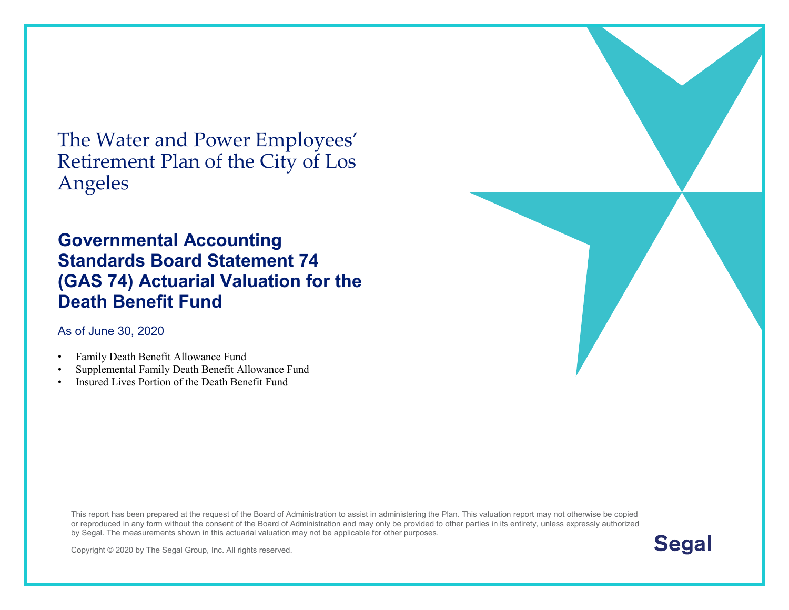The Water and Power Employees' Retirement Plan of the City of Los Angeles

#### **Governmental Accounting Standards Board Statement 74 (GAS 74) Actuarial Valuation for the Death Benefit Fund**

As of June 30, [2020](#page--1-0)

- Family Death Benefit Allowance Fund
- Supplemental Family Death Benefit Allowance Fund
- Insured Lives Portion of the Death Benefit Fund

This report has been prepared at the request of the Board of Administration to assist in administering the Plan. This valuation report may not otherwise be copied or reproduced in any form without the consent of the Board of Administration and may only be provided to other parties in its entirety, unless expressly authorized by Segal. The measurements shown in this actuarial valuation may not be applicable for other purposes.



Copyright © 2020 by The Segal Group, Inc. All rights reserved.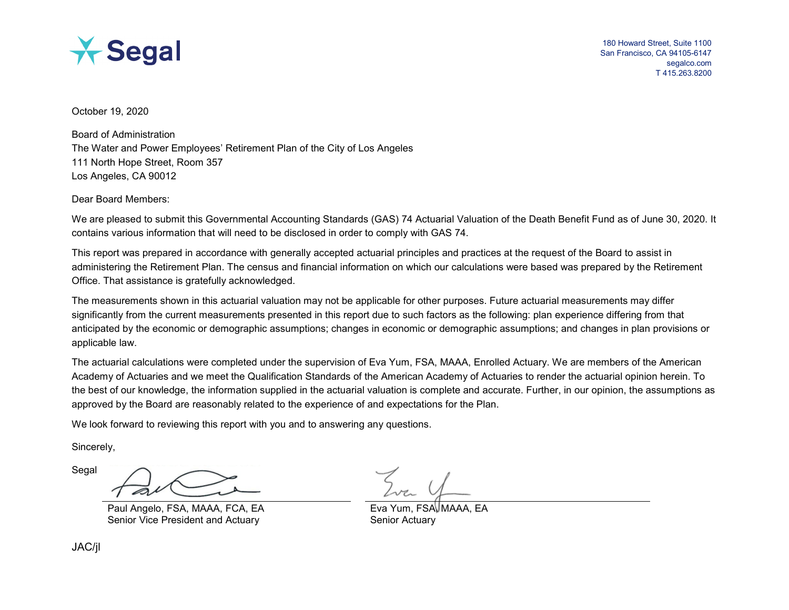

October 19, 2020

Board of Administration The Water and Power Employees' Retirement Plan of the City of Los Angeles 111 North Hope Street, Room 357 Los Angeles, CA 90012

Dear Board Members:

We are pleased to submit this Governmental Accounting Standards (GAS) 74 Actuarial Valuation of the Death Benefit Fund as of June 30, [2020.](#page--1-0) It contains various information that will need to be disclosed in order to comply with GAS 74.

This report was prepared in accordance with generally accepted actuarial principles and practices at the request of the Board to assist in administering the Retirement Plan. The census and financial information on which our calculations were based was prepared by the Retirement Office. That assistance is gratefully acknowledged.

The measurements shown in this actuarial valuation may not be applicable for other purposes. Future actuarial measurements may differ significantly from the current measurements presented in this report due to such factors as the following: plan experience differing from that anticipated by the economic or demographic assumptions; changes in economic or demographic assumptions; and changes in plan provisions or applicable law.

The actuarial calculations were completed under the supervision of Eva Yum, FSA, MAAA, Enrolled Actuary. We are members of the American Academy of Actuaries and we meet the Qualification Standards of the American Academy of Actuaries to render the actuarial opinion herein. To the best of our knowledge, the information supplied in the actuarial valuation is complete and accurate. Further, in our opinion, the assumptions as approved by the Board are reasonably related to the experience of and expectations for the Plan.

We look forward to reviewing this report with you and to answering any questions.

Sincerely,

Segal

Paul Angelo, FSA, MAAA, FCA, EA Exa Yum, FSA, MAAA, EA Senior Vice President and Actuary Senior Actuary Senior Actuary

JAC/jl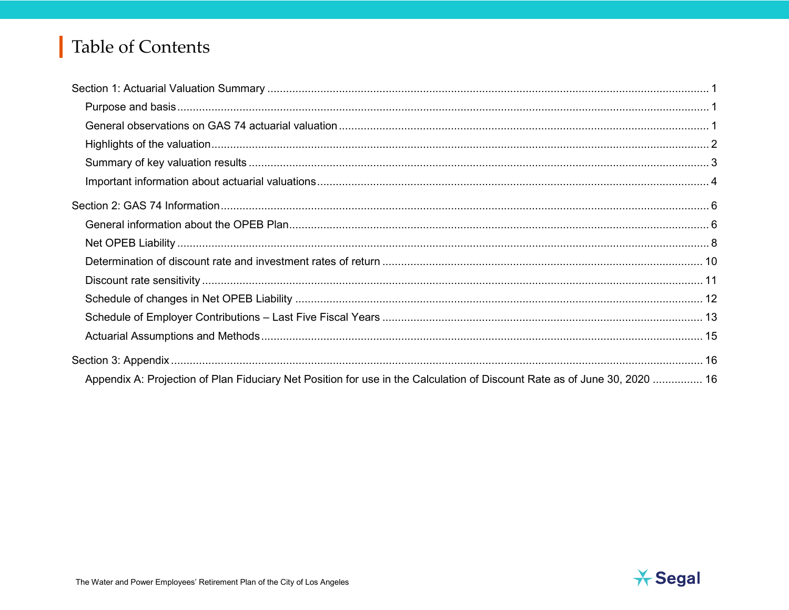# Table of Contents

| Appendix A: Projection of Plan Fiduciary Net Position for use in the Calculation of Discount Rate as of June 30, 2020  16 |  |
|---------------------------------------------------------------------------------------------------------------------------|--|

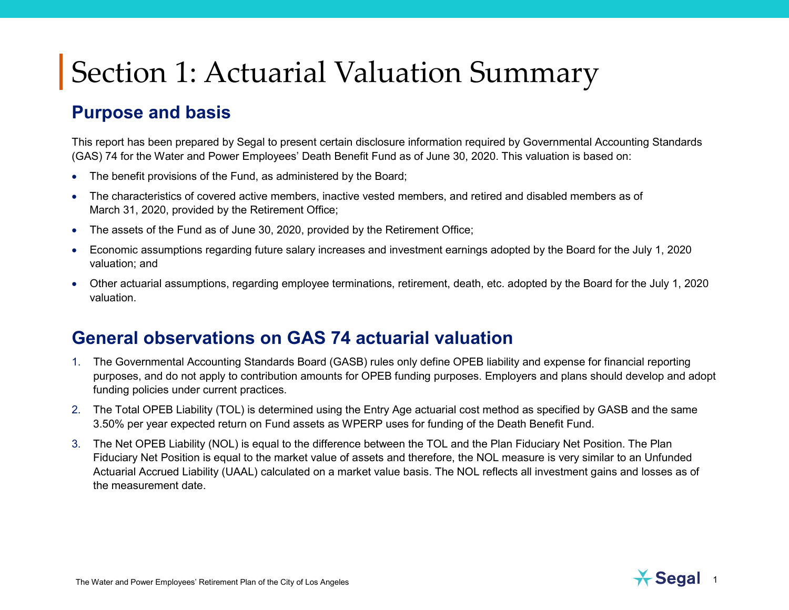#### **Purpose and basis**

This report has been prepared by Segal to present certain disclosure information required by Governmental Accounting Standards (GAS) 74 for the Water and Power Employees' Death Benefit Fund as of June 30, [2020.](#page--1-0) This valuation is based on:

- The benefit provisions of the Fund, as administered by the Board;
- The characteristics of covered active members, inactive vested members, and retired and disabled members as of March 31, [2020,](#page--1-0) provided by the Retirement Office;
- The assets of the Fund as of June 30, [2020,](#page--1-0) provided by the Retirement Office;
- Economic assumptions regarding future salary increases and investment earnings adopted by the Board for the July 1, [2020](#page--1-0) valuation; and
- Other actuarial assumptions, regarding employee terminations, retirement, death, etc. adopted by the Board for the July 1, [2020](#page--1-0) valuation.

#### **General observations on GAS 74 actuarial valuation**

- 1. The Governmental Accounting Standards Board (GASB) rules only define OPEB liability and expense for financial reporting purposes, and do not apply to contribution amounts for OPEB funding purposes. Employers and plans should develop and adopt funding policies under current practices.
- 2. The Total OPEB Liability (TOL) is determined using the Entry Age actuarial cost method as specified by GASB and the same 3.50% per year expected return on Fund assets as WPERP uses for funding of the Death Benefit Fund.
- 3. The Net OPEB Liability (NOL) is equal to the difference between the TOL and the Plan Fiduciary Net Position. The Plan Fiduciary Net Position is equal to the market value of assets and therefore, the NOL measure is very similar to an Unfunded Actuarial Accrued Liability (UAAL) calculated on a market value basis. The NOL reflects all investment gains and losses as of the measurement date.

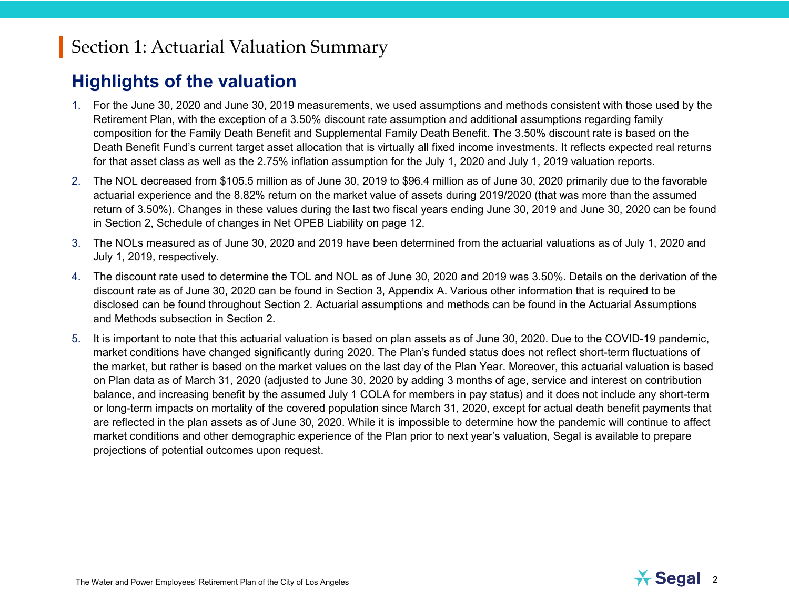#### **Highlights of the valuation**

- 1. For the June 30, [2020](#page--1-0) and June 30, [2019](#page--1-1) measurements, we used assumptions and methods consistent with those used by the Retirement Plan, with the exception of a 3.50% discount rate assumption and additional assumptions regarding family composition for the Family Death Benefit and Supplemental Family Death Benefit. The 3.50% discount rate is based on the Death Benefit Fund's current target asset allocation that is virtually all fixed income investments. It reflects expected real returns for that asset class as well as the 2.75% inflation assumption for the July 1, [2020](#page--1-0) and July 1, [2019](#page--1-1) valuation reports.
- 2. The NOL decreased from \$105.5 million as of June 30, 2019 to \$96.4 million as of June 30, [2020](#page--1-0) primarily due to the favorable actuarial experience and the 8.82% return on the market value of assets during 2019/2020 (that was more than the assumed return of 3.50%). Changes in these values during the last two fiscal years ending June 30, [2019](#page--1-1) and June 30, [2020](#page--1-0) can be found in Section 2, Schedule of changes in Net OPEB Liability on page 12.
- 3. The NOLs measured as of June 30, [2020](#page--1-0) and [2019](#page--1-1) have been determined from the actuarial valuations as of July 1, [2020](#page--1-0) and July 1, [2019,](#page--1-1) respectively.
- 4. The discount rate used to determine the TOL and NOL as of June 30, [2020](#page--1-0) and [2019](#page--1-1) was 3.50%. Details on the derivation of the discount rate as of June 30, [2020](#page--1-0) can be found in Section 3, Appendix A. Various other information that is required to be disclosed can be found throughout Section 2. Actuarial assumptions and methods can be found in the Actuarial Assumptions and Methods subsection in Section 2.
- 5. It is important to note that this actuarial valuation is based on plan assets as of June 30, 2020. Due to the COVID-19 pandemic, market conditions have changed significantly during 2020. The Plan's funded status does not reflect short-term fluctuations of the market, but rather is based on the market values on the last day of the Plan Year. Moreover, this actuarial valuation is based on Plan data as of March 31, 2020 (adjusted to June 30, 2020 by adding 3 months of age, service and interest on contribution balance, and increasing benefit by the assumed July 1 COLA for members in pay status) and it does not include any short-term or long-term impacts on mortality of the covered population since March 31, 2020, except for actual death benefit payments that are reflected in the plan assets as of June 30, 2020. While it is impossible to determine how the pandemic will continue to affect market conditions and other demographic experience of the Plan prior to next year's valuation, Segal is available to prepare projections of potential outcomes upon request.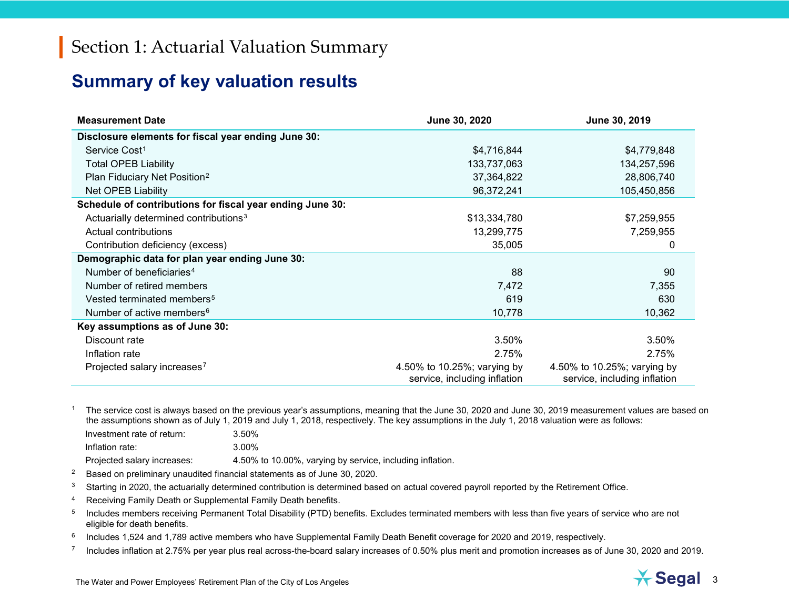#### <span id="page-5-6"></span><span id="page-5-5"></span><span id="page-5-4"></span><span id="page-5-3"></span><span id="page-5-2"></span><span id="page-5-1"></span><span id="page-5-0"></span>**Summary of key valuation results**

| <b>Measurement Date</b>                                   | June 30, 2020                                               | June 30, 2019                                               |
|-----------------------------------------------------------|-------------------------------------------------------------|-------------------------------------------------------------|
| Disclosure elements for fiscal year ending June 30:       |                                                             |                                                             |
| Service Cost <sup>1</sup>                                 | \$4,716,844                                                 | \$4,779,848                                                 |
| <b>Total OPEB Liability</b>                               | 133,737,063                                                 | 134,257,596                                                 |
| Plan Fiduciary Net Position <sup>2</sup>                  | 37,364,822                                                  | 28,806,740                                                  |
| <b>Net OPEB Liability</b>                                 | 96,372,241                                                  | 105,450,856                                                 |
| Schedule of contributions for fiscal year ending June 30: |                                                             |                                                             |
| Actuarially determined contributions <sup>3</sup>         | \$13,334,780                                                | \$7,259,955                                                 |
| Actual contributions                                      | 13,299,775                                                  | 7,259,955                                                   |
| Contribution deficiency (excess)                          | 35,005                                                      | 0                                                           |
| Demographic data for plan year ending June 30:            |                                                             |                                                             |
| Number of beneficiaries <sup>4</sup>                      | 88                                                          | 90                                                          |
| Number of retired members                                 | 7,472                                                       | 7,355                                                       |
| Vested terminated members <sup>5</sup>                    | 619                                                         | 630                                                         |
| Number of active members <sup>6</sup>                     | 10,778                                                      | 10,362                                                      |
| Key assumptions as of June 30:                            |                                                             |                                                             |
| Discount rate                                             | 3.50%                                                       | 3.50%                                                       |
| Inflation rate                                            | 2.75%                                                       | 2.75%                                                       |
| Projected salary increases <sup>7</sup>                   | 4.50% to 10.25%; varying by<br>service, including inflation | 4.50% to 10.25%; varying by<br>service, including inflation |

<sup>1</sup> The service cost is always based on the previous year's assumptions, meaning that the June 30, [2020](#page--1-0) and June 30, [2019](#page--1-1) measurement values are based on the assumptions shown as of July 1, [2019](#page--1-1) and July 1, 2018, respectively. The key assumptions in the July 1, 2018 valuation were as follows:

| Investment rate of return:  | 3.50%                                                     |
|-----------------------------|-----------------------------------------------------------|
| Inflation rate:             | 3.00%                                                     |
| Projected salary increases: | 4.50% to 10.00%, varying by service, including inflation. |

<sup>2</sup> Based on preliminary unaudited financial statements as of June 30[, 2020.](#page--1-0)

 $3$  Starting in 2020, the actuarially determined contribution is determined based on actual covered payroll reported by the Retirement Office.

<sup>4</sup> Receiving Family Death or Supplemental Family Death benefits.

<sup>5</sup> Includes members receiving Permanent Total Disability (PTD) benefits. Excludes terminated members with less than five years of service who are not eligible for death benefits.

<sup>6</sup> Includes 1,524 and 1,789 active members who have Supplemental Family Death Benefit coverage for 2020 and 2019, respectively.

 $7$  Includes inflation at 2.75% per year plus real across-the-board salary increases of 0.50% plus merit and promotion increases as of June 30, [2020](#page--1-0) an[d 2019.](#page--1-1)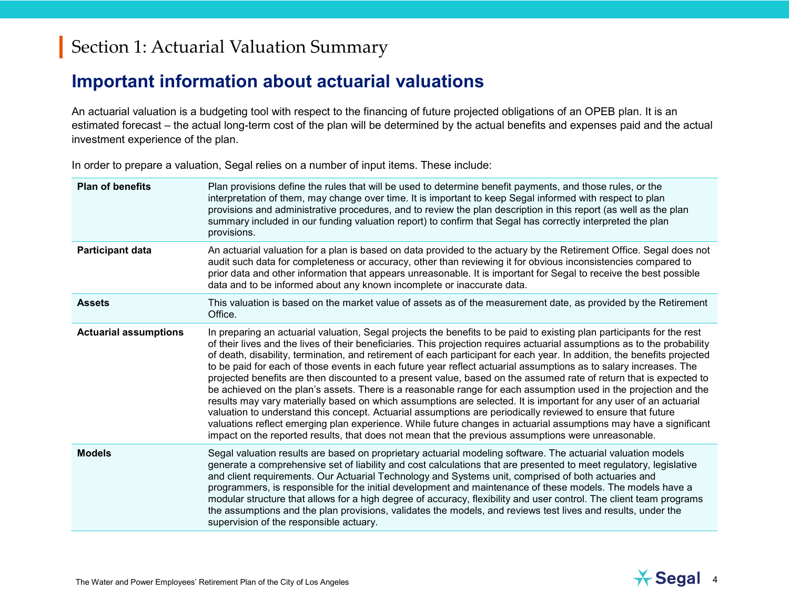#### **Important information about actuarial valuations**

An actuarial valuation is a budgeting tool with respect to the financing of future projected obligations of an OPEB plan. It is an estimated forecast – the actual long-term cost of the plan will be determined by the actual benefits and expenses paid and the actual investment experience of the plan.

In order to prepare a valuation, Segal relies on a number of input items. These include:

| <b>Plan of benefits</b>      | Plan provisions define the rules that will be used to determine benefit payments, and those rules, or the<br>interpretation of them, may change over time. It is important to keep Segal informed with respect to plan<br>provisions and administrative procedures, and to review the plan description in this report (as well as the plan<br>summary included in our funding valuation report) to confirm that Segal has correctly interpreted the plan<br>provisions.                                                                                                                                                                                                                                                                                                                                                                                                                                                                                                                                                                                                                                                                                                                                        |
|------------------------------|----------------------------------------------------------------------------------------------------------------------------------------------------------------------------------------------------------------------------------------------------------------------------------------------------------------------------------------------------------------------------------------------------------------------------------------------------------------------------------------------------------------------------------------------------------------------------------------------------------------------------------------------------------------------------------------------------------------------------------------------------------------------------------------------------------------------------------------------------------------------------------------------------------------------------------------------------------------------------------------------------------------------------------------------------------------------------------------------------------------------------------------------------------------------------------------------------------------|
| <b>Participant data</b>      | An actuarial valuation for a plan is based on data provided to the actuary by the Retirement Office. Segal does not<br>audit such data for completeness or accuracy, other than reviewing it for obvious inconsistencies compared to<br>prior data and other information that appears unreasonable. It is important for Segal to receive the best possible<br>data and to be informed about any known incomplete or inaccurate data.                                                                                                                                                                                                                                                                                                                                                                                                                                                                                                                                                                                                                                                                                                                                                                           |
| <b>Assets</b>                | This valuation is based on the market value of assets as of the measurement date, as provided by the Retirement<br>Office.                                                                                                                                                                                                                                                                                                                                                                                                                                                                                                                                                                                                                                                                                                                                                                                                                                                                                                                                                                                                                                                                                     |
| <b>Actuarial assumptions</b> | In preparing an actuarial valuation, Segal projects the benefits to be paid to existing plan participants for the rest<br>of their lives and the lives of their beneficiaries. This projection requires actuarial assumptions as to the probability<br>of death, disability, termination, and retirement of each participant for each year. In addition, the benefits projected<br>to be paid for each of those events in each future year reflect actuarial assumptions as to salary increases. The<br>projected benefits are then discounted to a present value, based on the assumed rate of return that is expected to<br>be achieved on the plan's assets. There is a reasonable range for each assumption used in the projection and the<br>results may vary materially based on which assumptions are selected. It is important for any user of an actuarial<br>valuation to understand this concept. Actuarial assumptions are periodically reviewed to ensure that future<br>valuations reflect emerging plan experience. While future changes in actuarial assumptions may have a significant<br>impact on the reported results, that does not mean that the previous assumptions were unreasonable. |
| <b>Models</b>                | Segal valuation results are based on proprietary actuarial modeling software. The actuarial valuation models<br>generate a comprehensive set of liability and cost calculations that are presented to meet regulatory, legislative<br>and client requirements. Our Actuarial Technology and Systems unit, comprised of both actuaries and<br>programmers, is responsible for the initial development and maintenance of these models. The models have a<br>modular structure that allows for a high degree of accuracy, flexibility and user control. The client team programs<br>the assumptions and the plan provisions, validates the models, and reviews test lives and results, under the<br>supervision of the responsible actuary.                                                                                                                                                                                                                                                                                                                                                                                                                                                                      |

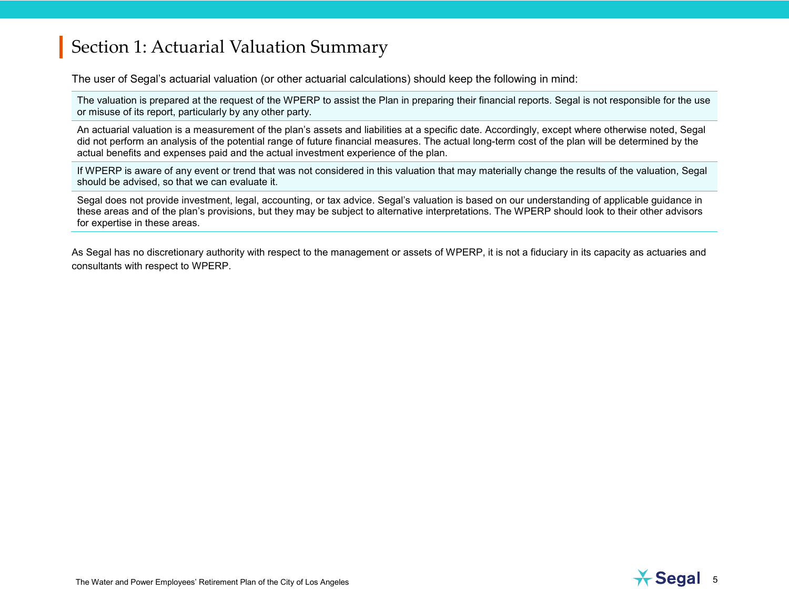The user of Segal's actuarial valuation (or other actuarial calculations) should keep the following in mind:

The valuation is prepared at the request of the WPERP to assist the Plan in preparing their financial reports. Segal is not responsible for the use or misuse of its report, particularly by any other party.

An actuarial valuation is a measurement of the plan's assets and liabilities at a specific date. Accordingly, except where otherwise noted, Segal did not perform an analysis of the potential range of future financial measures. The actual long-term cost of the plan will be determined by the actual benefits and expenses paid and the actual investment experience of the plan.

If WPERP is aware of any event or trend that was not considered in this valuation that may materially change the results of the valuation, Segal should be advised, so that we can evaluate it.

Segal does not provide investment, legal, accounting, or tax advice. Segal's valuation is based on our understanding of applicable guidance in these areas and of the plan's provisions, but they may be subject to alternative interpretations. The WPERP should look to their other advisors for expertise in these areas.

As Segal has no discretionary authority with respect to the management or assets of WPERP, it is not a fiduciary in its capacity as actuaries and consultants with respect to WPERP.

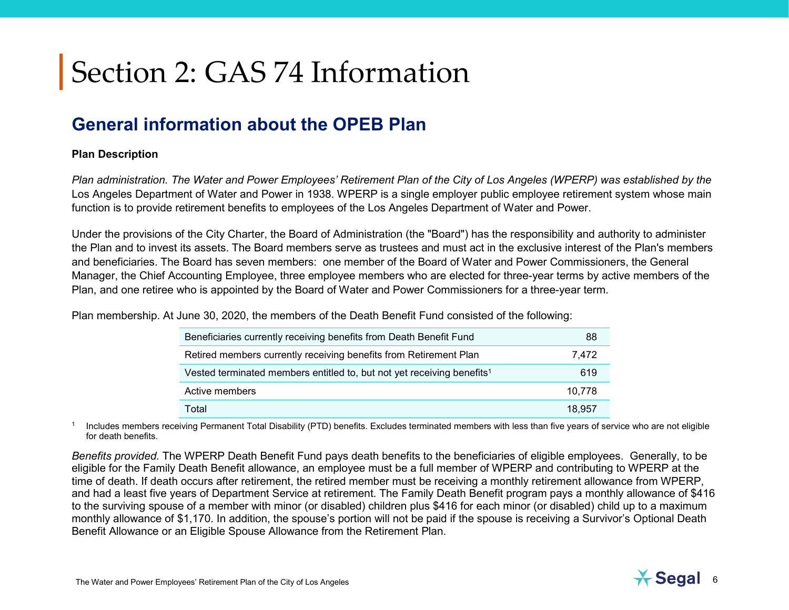### **General information about the OPEB Plan**

#### **Plan Description**

*Plan administration. The Water and Power Employees' Retirement Plan of the City of Los Angeles (WPERP) was established by the* Los Angeles Department of Water and Power in 1938. WPERP is a single employer public employee retirement system whose main function is to provide retirement benefits to employees of the Los Angeles Department of Water and Power.

Under the provisions of the City Charter, the Board of Administration (the "Board") has the responsibility and authority to administer the Plan and to invest its assets. The Board members serve as trustees and must act in the exclusive interest of the Plan's members and beneficiaries. The Board has seven members: one member of the Board of Water and Power Commissioners, the General Manager, the Chief Accounting Employee, three employee members who are elected for three-year terms by active members of the Plan, and one retiree who is appointed by the Board of Water and Power Commissioners for a three-year term.

Plan membership. At June 30, 2020, the members of the Death Benefit Fund consisted of the following:

| Beneficiaries currently receiving benefits from Death Benefit Fund                 | 88     |
|------------------------------------------------------------------------------------|--------|
| Retired members currently receiving benefits from Retirement Plan                  | 7.472  |
| Vested terminated members entitled to, but not yet receiving benefits <sup>1</sup> | 619    |
| Active members                                                                     | 10,778 |
| Total                                                                              | 18.957 |

<sup>1</sup> Includes members receiving Permanent Total Disability (PTD) benefits. Excludes terminated members with less than five years of service who are not eligible for death benefits.

*Benefits provided.* The WPERP Death Benefit Fund pays death benefits to the beneficiaries of eligible employees. Generally, to be eligible for the Family Death Benefit allowance, an employee must be a full member of WPERP and contributing to WPERP at the time of death. If death occurs after retirement, the retired member must be receiving a monthly retirement allowance from WPERP, and had a least five years of Department Service at retirement. The Family Death Benefit program pays a monthly allowance of \$416 to the surviving spouse of a member with minor (or disabled) children plus \$416 for each minor (or disabled) child up to a maximum monthly allowance of \$1,170. In addition, the spouse's portion will not be paid if the spouse is receiving a Survivor's Optional Death Benefit Allowance or an Eligible Spouse Allowance from the Retirement Plan.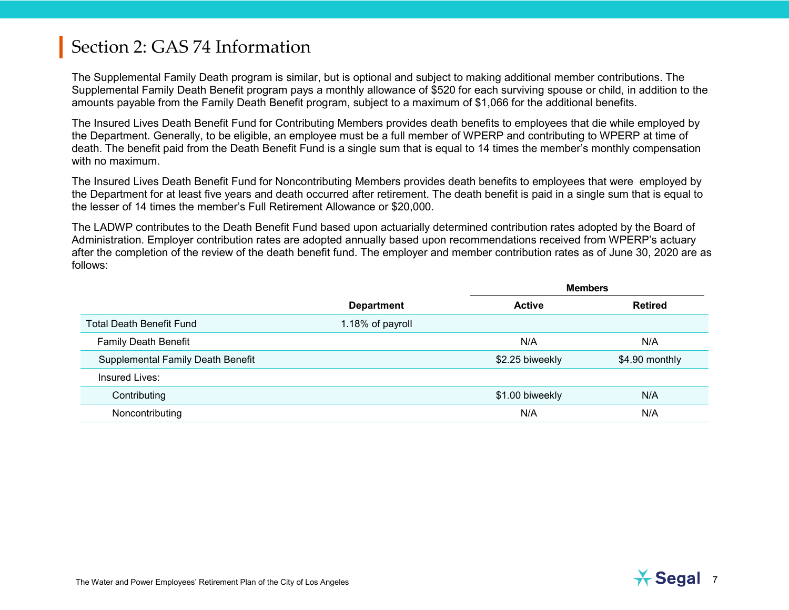The Supplemental Family Death program is similar, but is optional and subject to making additional member contributions. The Supplemental Family Death Benefit program pays a monthly allowance of \$520 for each surviving spouse or child, in addition to the amounts payable from the Family Death Benefit program, subject to a maximum of \$1,066 for the additional benefits.

The Insured Lives Death Benefit Fund for Contributing Members provides death benefits to employees that die while employed by the Department. Generally, to be eligible, an employee must be a full member of WPERP and contributing to WPERP at time of death. The benefit paid from the Death Benefit Fund is a single sum that is equal to 14 times the member's monthly compensation with no maximum.

The Insured Lives Death Benefit Fund for Noncontributing Members provides death benefits to employees that were employed by the Department for at least five years and death occurred after retirement. The death benefit is paid in a single sum that is equal to the lesser of 14 times the member's Full Retirement Allowance or \$20,000.

The LADWP contributes to the Death Benefit Fund based upon actuarially determined contribution rates adopted by the Board of Administration. Employer contribution rates are adopted annually based upon recommendations received from WPERP's actuary after the completion of the review of the death benefit fund. The employer and member contribution rates as of June 30, [2020](#page--1-0) are as follows:

|                                          | <b>Members</b>    |                 |                |
|------------------------------------------|-------------------|-----------------|----------------|
|                                          | <b>Department</b> | <b>Active</b>   | <b>Retired</b> |
| <b>Total Death Benefit Fund</b>          | 1.18% of payroll  |                 |                |
| <b>Family Death Benefit</b>              |                   | N/A             | N/A            |
| <b>Supplemental Family Death Benefit</b> |                   | \$2.25 biweekly | \$4.90 monthly |
| Insured Lives:                           |                   |                 |                |
| Contributing                             |                   | \$1.00 biweekly | N/A            |
| Noncontributing                          |                   | N/A             | N/A            |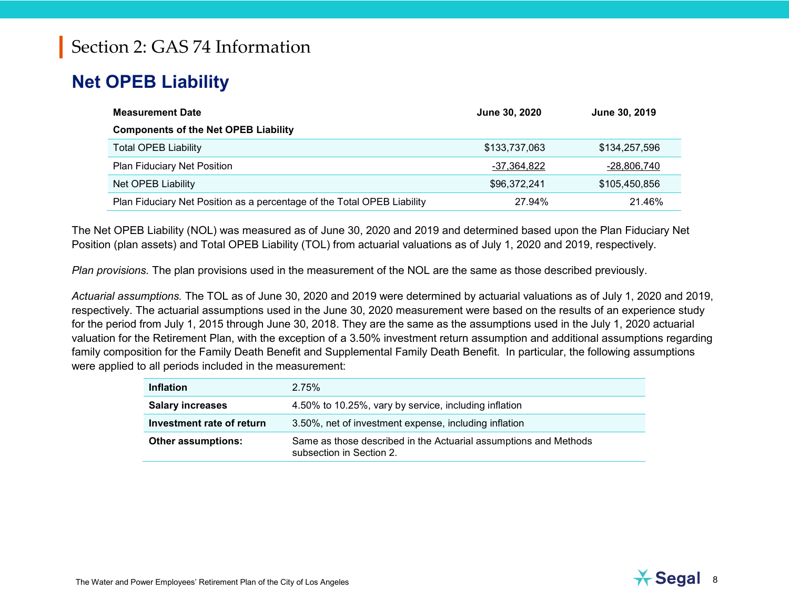# **Net OPEB Liability**

| <b>Measurement Date</b>                                                 | June 30, 2020 | June 30, 2019 |
|-------------------------------------------------------------------------|---------------|---------------|
| <b>Components of the Net OPEB Liability</b>                             |               |               |
| <b>Total OPEB Liability</b>                                             | \$133,737,063 | \$134,257,596 |
| Plan Fiduciary Net Position                                             | -37,364,822   | -28,806,740   |
| Net OPEB Liability                                                      | \$96,372,241  | \$105,450,856 |
| Plan Fiduciary Net Position as a percentage of the Total OPEB Liability | 27.94%        | 21.46%        |

The Net OPEB Liability (NOL) was measured as of June 30, [2020](#page--1-0) and [2019](#page--1-1) and determined based upon the Plan Fiduciary Net Position (plan assets) and Total OPEB Liability (TOL) from actuarial valuations as of July 1, [2020](#page--1-0) and [2019,](#page--1-1) respectively.

*Plan provisions.* The plan provisions used in the measurement of the NOL are the same as those described previously.

*Actuarial assumptions.* The TOL as of June 30, [2020](#page--1-0) and [2019](#page--1-1) were determined by actuarial valuations as of July 1, [2020](#page--1-0) and [2019,](#page--1-1) respectively. The actuarial assumptions used in the June 30, [2020](#page--1-0) measurement were based on the results of an experience study for the period from July 1, 2015 through June 30, 2018. They are the same as the assumptions used in the July 1, [2020](#page--1-0) actuarial valuation for the Retirement Plan, with the exception of a 3.50% investment return assumption and additional assumptions regarding family composition for the Family Death Benefit and Supplemental Family Death Benefit. In particular, the following assumptions were applied to all periods included in the measurement:

| <b>Inflation</b>          | 2.75%                                                                                        |
|---------------------------|----------------------------------------------------------------------------------------------|
| <b>Salary increases</b>   | 4.50% to 10.25%, vary by service, including inflation                                        |
| Investment rate of return | 3.50%, net of investment expense, including inflation                                        |
| <b>Other assumptions:</b> | Same as those described in the Actuarial assumptions and Methods<br>subsection in Section 2. |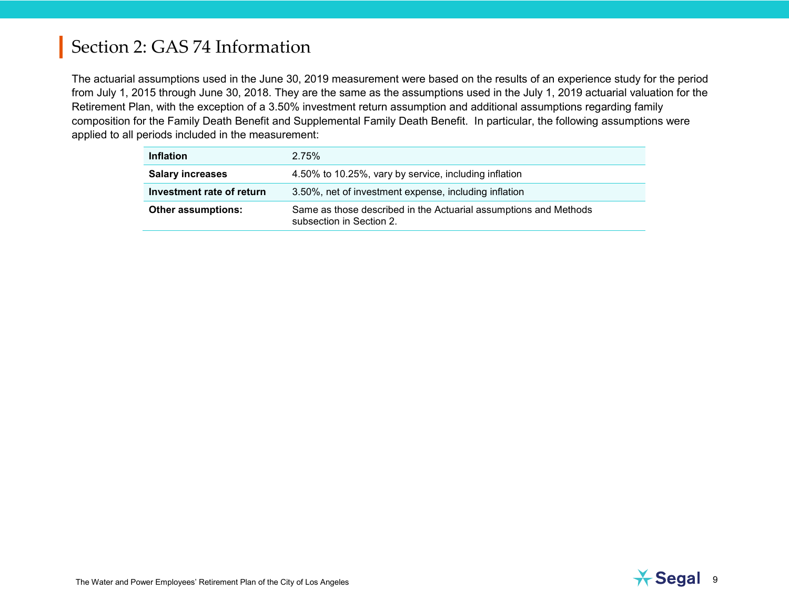The actuarial assumptions used in the June 30, [2019](#page--1-1) measurement were based on the results of an experience study for the period from July 1, 2015 through June 30, 2018. They are the same as the assumptions used in the July 1, [2019](#page--1-1) actuarial valuation for the Retirement Plan, with the exception of a 3.50% investment return assumption and additional assumptions regarding family composition for the Family Death Benefit and Supplemental Family Death Benefit. In particular, the following assumptions were applied to all periods included in the measurement:

| <b>Inflation</b>          | 2.75%                                                                                        |
|---------------------------|----------------------------------------------------------------------------------------------|
| <b>Salary increases</b>   | 4.50% to 10.25%, vary by service, including inflation                                        |
| Investment rate of return | 3.50%, net of investment expense, including inflation                                        |
| <b>Other assumptions:</b> | Same as those described in the Actuarial assumptions and Methods<br>subsection in Section 2. |

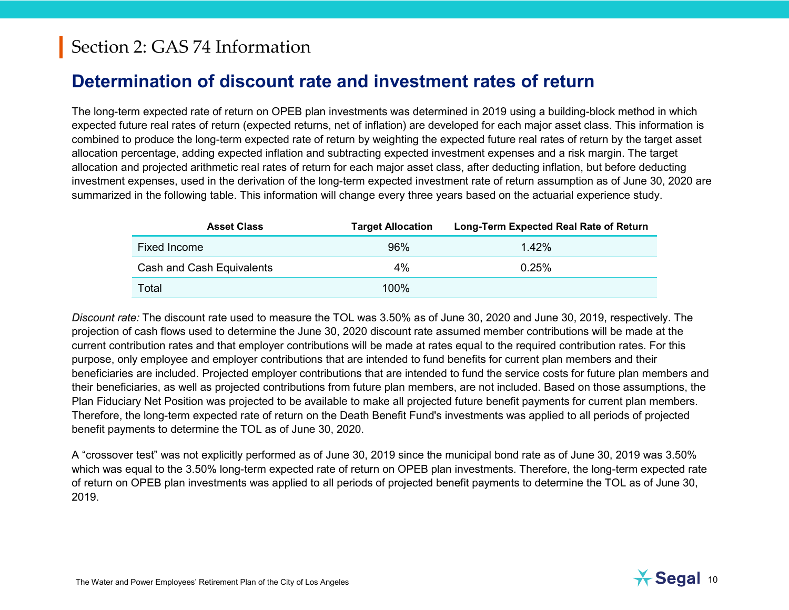#### **Determination of discount rate and investment rates of return**

The long-term expected rate of return on OPEB plan investments was determined in [2019](#page--1-1) using a building-block method in which expected future real rates of return (expected returns, net of inflation) are developed for each major asset class. This information is combined to produce the long-term expected rate of return by weighting the expected future real rates of return by the target asset allocation percentage, adding expected inflation and subtracting expected investment expenses and a risk margin. The target allocation and projected arithmetic real rates of return for each major asset class, after deducting inflation, but before deducting investment expenses, used in the derivation of the long-term expected investment rate of return assumption as of June 30, 2020 are summarized in the following table. This information will change every three years based on the actuarial experience study.

| <b>Asset Class</b>        | <b>Target Allocation</b> | Long-Term Expected Real Rate of Return |
|---------------------------|--------------------------|----------------------------------------|
| <b>Fixed Income</b>       | 96%                      | 1.42%                                  |
| Cash and Cash Equivalents | $4\%$                    | 0.25%                                  |
| Total                     | $100\%$                  |                                        |

*Discount rate:* The discount rate used to measure the TOL was 3.50% as of June 30, 2020 and June 30, 2019, respectively. The projection of cash flows used to determine the June 30, 2020 discount rate assumed member contributions will be made at the current contribution rates and that employer contributions will be made at rates equal to the required contribution rates. For this purpose, only employee and employer contributions that are intended to fund benefits for current plan members and their beneficiaries are included. Projected employer contributions that are intended to fund the service costs for future plan members and their beneficiaries, as well as projected contributions from future plan members, are not included. Based on those assumptions, the Plan Fiduciary Net Position was projected to be available to make all projected future benefit payments for current plan members. Therefore, the long-term expected rate of return on the Death Benefit Fund's investments was applied to all periods of projected benefit payments to determine the TOL as of June 30, 2020.

A "crossover test" was not explicitly performed as of June 30, 2019 since the municipal bond rate as of June 30, [2019](#page--1-1) was 3.50% which was equal to the 3.50% long-term expected rate of return on OPEB plan investments. Therefore, the long-term expected rate of return on OPEB plan investments was applied to all periods of projected benefit payments to determine the TOL as of June 30, [2019.](#page--1-1)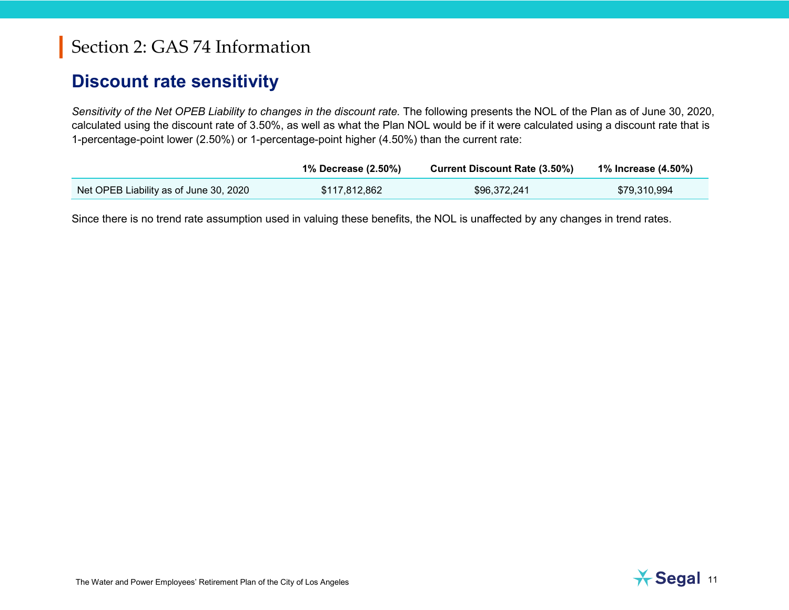#### **Discount rate sensitivity**

*Sensitivity of the Net OPEB Liability to changes in the discount rate.* The following presents the NOL of the Plan as of June 30, [2020,](#page--1-0) calculated using the discount rate of 3.50%, as well as what the Plan NOL would be if it were calculated using a discount rate that is 1-percentage-point lower (2.50%) or 1-percentage-point higher (4.50%) than the current rate:

|                                        | 1% Decrease (2.50%) | <b>Current Discount Rate (3.50%)</b> | 1% Increase (4.50%) |
|----------------------------------------|---------------------|--------------------------------------|---------------------|
| Net OPEB Liability as of June 30, 2020 | \$117,812,862       | \$96,372,241                         | \$79,310,994        |

Since there is no trend rate assumption used in valuing these benefits, the NOL is unaffected by any changes in trend rates.

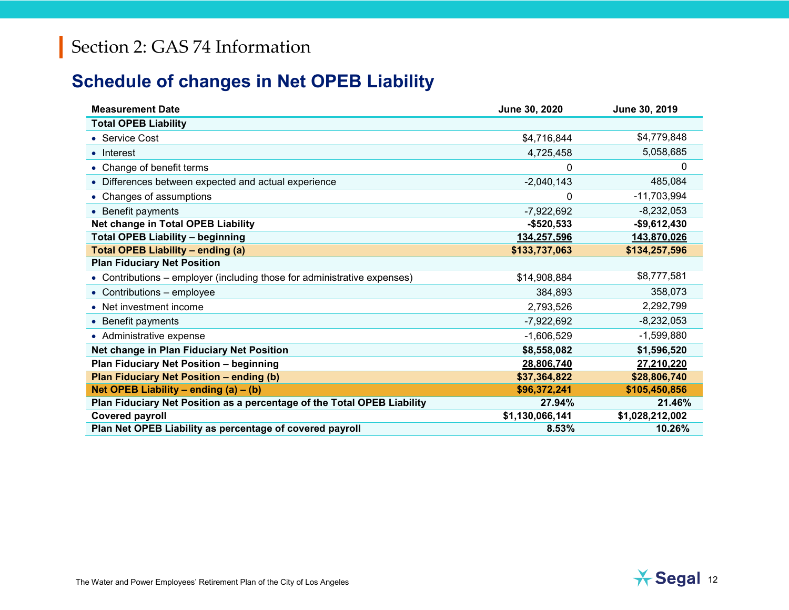# **Schedule of changes in Net OPEB Liability**

| <b>Measurement Date</b>                                                  | June 30, 2020   | June 30, 2019   |
|--------------------------------------------------------------------------|-----------------|-----------------|
| <b>Total OPEB Liability</b>                                              |                 |                 |
| • Service Cost                                                           | \$4,716,844     | \$4,779,848     |
| $\bullet$ Interest                                                       | 4,725,458       | 5,058,685       |
| • Change of benefit terms                                                | 0               | 0               |
| • Differences between expected and actual experience                     | $-2,040,143$    | 485,084         |
| • Changes of assumptions                                                 | 0               | $-11,703,994$   |
| • Benefit payments                                                       | $-7,922,692$    | $-8,232,053$    |
| Net change in Total OPEB Liability                                       | $-$520,533$     | $-$9,612,430$   |
| <b>Total OPEB Liability - beginning</b>                                  | 134,257,596     | 143,870,026     |
| <b>Total OPEB Liability - ending (a)</b>                                 | \$133,737,063   | \$134,257,596   |
| <b>Plan Fiduciary Net Position</b>                                       |                 |                 |
| • Contributions – employer (including those for administrative expenses) | \$14,908,884    | \$8,777,581     |
| • Contributions - employee                                               | 384,893         | 358,073         |
| • Net investment income                                                  | 2,793,526       | 2,292,799       |
| • Benefit payments                                                       | $-7,922,692$    | $-8,232,053$    |
| • Administrative expense                                                 | $-1,606,529$    | $-1,599,880$    |
| Net change in Plan Fiduciary Net Position                                | \$8,558,082     | \$1,596,520     |
| <b>Plan Fiduciary Net Position - beginning</b>                           | 28,806,740      | 27,210,220      |
| Plan Fiduciary Net Position - ending (b)                                 | \$37,364,822    | \$28,806,740    |
| Net OPEB Liability – ending $(a) - (b)$                                  | \$96,372,241    | \$105,450,856   |
| Plan Fiduciary Net Position as a percentage of the Total OPEB Liability  | 27.94%          | 21.46%          |
| <b>Covered payroll</b>                                                   | \$1,130,066,141 | \$1,028,212,002 |
| Plan Net OPEB Liability as percentage of covered payroll                 | 8.53%           | 10.26%          |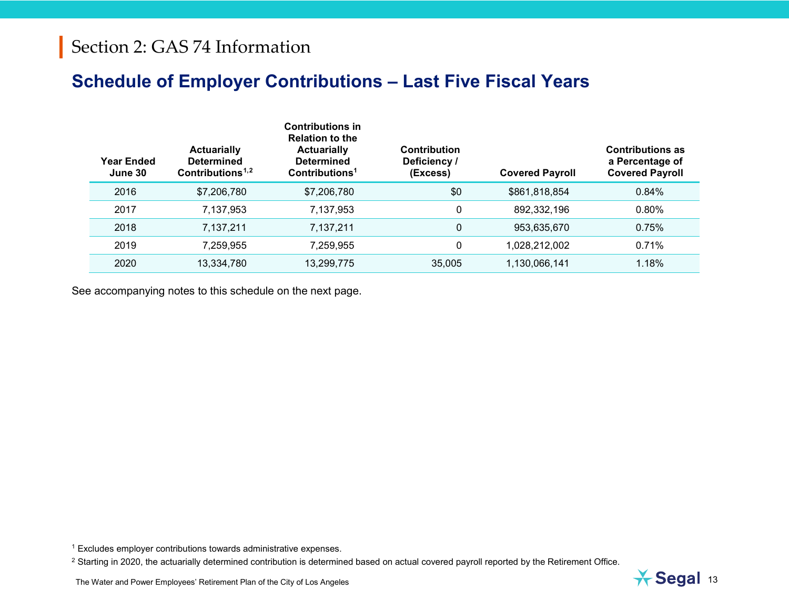### <span id="page-15-1"></span><span id="page-15-0"></span>**Schedule of Employer Contributions – Last Five Fiscal Years**

| Year Ended<br>June 30 | <b>Actuarially</b><br><b>Determined</b><br>Contributions <sup><math>1,2</math></sup> | <b>Contributions in</b><br><b>Relation to the</b><br><b>Actuarially</b><br><b>Determined</b><br>Contributions <sup>1</sup> | Contribution<br>Deficiency /<br>(Excess) | <b>Covered Payroll</b> | <b>Contributions as</b><br>a Percentage of<br><b>Covered Payroll</b> |
|-----------------------|--------------------------------------------------------------------------------------|----------------------------------------------------------------------------------------------------------------------------|------------------------------------------|------------------------|----------------------------------------------------------------------|
| 2016                  | \$7,206,780                                                                          | \$7,206,780                                                                                                                | \$0                                      | \$861,818,854          | 0.84%                                                                |
| 2017                  | 7,137,953                                                                            | 7,137,953                                                                                                                  | 0                                        | 892,332,196            | 0.80%                                                                |
| 2018                  | 7,137,211                                                                            | 7,137,211                                                                                                                  | 0                                        | 953,635,670            | 0.75%                                                                |
| 2019                  | 7.259.955                                                                            | 7,259,955                                                                                                                  | 0                                        | 1,028,212,002          | 0.71%                                                                |
| 2020                  | 13,334,780                                                                           | 13,299,775                                                                                                                 | 35,005                                   | 1,130,066,141          | 1.18%                                                                |

See accompanying notes to this schedule on the next page.

<sup>1</sup> Excludes employer contributions towards administrative expenses.

<sup>2</sup> Starting in 2020, the actuarially determined contribution is determined based on actual covered payroll reported by the Retirement Office.

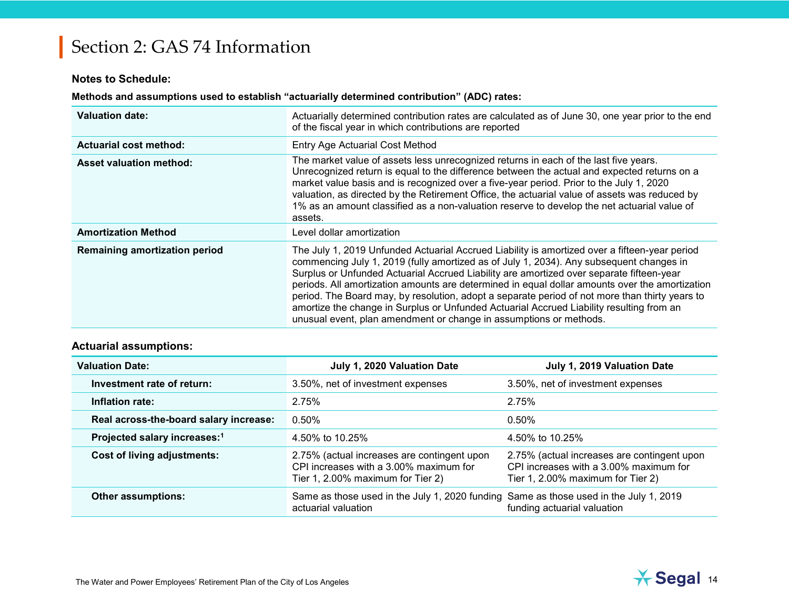#### **Notes to Schedule:**

#### **Methods and assumptions used to establish "actuarially determined contribution" (ADC) rates:**

| <b>Valuation date:</b>               | Actuarially determined contribution rates are calculated as of June 30, one year prior to the end<br>of the fiscal year in which contributions are reported                                                                                                                                                                                                                                                                                                                                                                                                                                                                                                |
|--------------------------------------|------------------------------------------------------------------------------------------------------------------------------------------------------------------------------------------------------------------------------------------------------------------------------------------------------------------------------------------------------------------------------------------------------------------------------------------------------------------------------------------------------------------------------------------------------------------------------------------------------------------------------------------------------------|
| <b>Actuarial cost method:</b>        | Entry Age Actuarial Cost Method                                                                                                                                                                                                                                                                                                                                                                                                                                                                                                                                                                                                                            |
| <b>Asset valuation method:</b>       | The market value of assets less unrecognized returns in each of the last five years.<br>Unrecognized return is equal to the difference between the actual and expected returns on a<br>market value basis and is recognized over a five-year period. Prior to the July 1, 2020<br>valuation, as directed by the Retirement Office, the actuarial value of assets was reduced by<br>1% as an amount classified as a non-valuation reserve to develop the net actuarial value of<br>assets.                                                                                                                                                                  |
| <b>Amortization Method</b>           | Level dollar amortization                                                                                                                                                                                                                                                                                                                                                                                                                                                                                                                                                                                                                                  |
| <b>Remaining amortization period</b> | The July 1, 2019 Unfunded Actuarial Accrued Liability is amortized over a fifteen-year period<br>commencing July 1, 2019 (fully amortized as of July 1, 2034). Any subsequent changes in<br>Surplus or Unfunded Actuarial Accrued Liability are amortized over separate fifteen-year<br>periods. All amortization amounts are determined in equal dollar amounts over the amortization<br>period. The Board may, by resolution, adopt a separate period of not more than thirty years to<br>amortize the change in Surplus or Unfunded Actuarial Accrued Liability resulting from an<br>unusual event, plan amendment or change in assumptions or methods. |

#### **Actuarial assumptions:**

| <b>Valuation Date:</b>                   | July 1, 2020 Valuation Date                                                                                                | July 1, 2019 Valuation Date                                                                                                |
|------------------------------------------|----------------------------------------------------------------------------------------------------------------------------|----------------------------------------------------------------------------------------------------------------------------|
| Investment rate of return:               | 3.50%, net of investment expenses                                                                                          | 3.50%, net of investment expenses                                                                                          |
| Inflation rate:                          | 2.75%                                                                                                                      | 2.75%                                                                                                                      |
| Real across-the-board salary increase:   | 0.50%                                                                                                                      | $0.50\%$                                                                                                                   |
| Projected salary increases: <sup>1</sup> | 4.50% to 10.25%                                                                                                            | 4.50% to 10.25%                                                                                                            |
| Cost of living adjustments:              | 2.75% (actual increases are contingent upon<br>CPI increases with a 3,00% maximum for<br>Tier 1, 2.00% maximum for Tier 2) | 2.75% (actual increases are contingent upon<br>CPI increases with a 3,00% maximum for<br>Tier 1, 2.00% maximum for Tier 2) |
| <b>Other assumptions:</b>                | Same as those used in the July 1, 2020 funding Same as those used in the July 1, 2019<br>actuarial valuation               | funding actuarial valuation                                                                                                |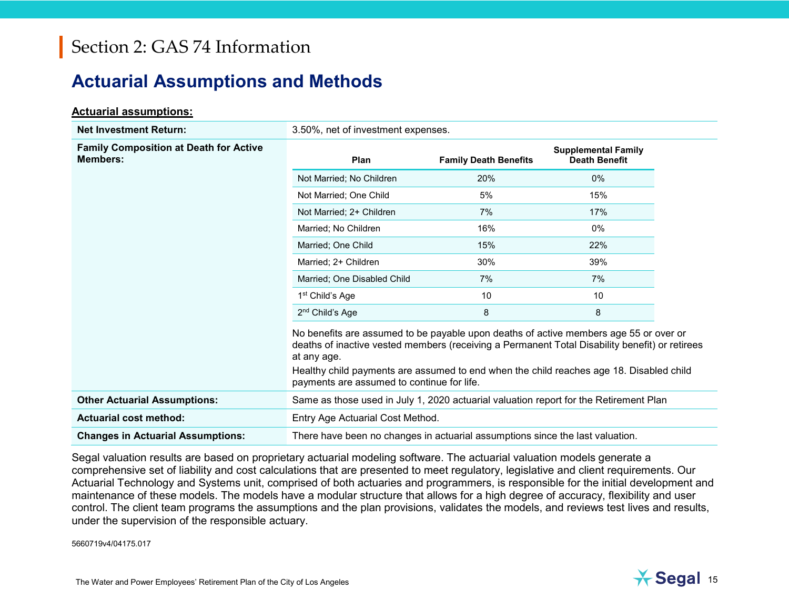### **Actuarial Assumptions and Methods**

#### **Actuarial assumptions:**

| <b>Net Investment Return:</b>                                    | 3.50%, net of investment expenses.                                                                                                                                                                                                                                                                                                              |                              |                                                    |  |
|------------------------------------------------------------------|-------------------------------------------------------------------------------------------------------------------------------------------------------------------------------------------------------------------------------------------------------------------------------------------------------------------------------------------------|------------------------------|----------------------------------------------------|--|
| <b>Family Composition at Death for Active</b><br><b>Members:</b> | <b>Plan</b>                                                                                                                                                                                                                                                                                                                                     | <b>Family Death Benefits</b> | <b>Supplemental Family</b><br><b>Death Benefit</b> |  |
|                                                                  | Not Married; No Children                                                                                                                                                                                                                                                                                                                        | 20%                          | 0%                                                 |  |
|                                                                  | Not Married; One Child                                                                                                                                                                                                                                                                                                                          | 5%                           | 15%                                                |  |
|                                                                  | Not Married; 2+ Children                                                                                                                                                                                                                                                                                                                        | 7%                           | 17%                                                |  |
|                                                                  | Married; No Children                                                                                                                                                                                                                                                                                                                            | 16%                          | $0\%$                                              |  |
|                                                                  | Married; One Child                                                                                                                                                                                                                                                                                                                              | 15%                          | 22%                                                |  |
|                                                                  | Married; 2+ Children                                                                                                                                                                                                                                                                                                                            | 30%                          | 39%                                                |  |
|                                                                  | Married; One Disabled Child                                                                                                                                                                                                                                                                                                                     | 7%                           | 7%                                                 |  |
|                                                                  | 1 <sup>st</sup> Child's Age                                                                                                                                                                                                                                                                                                                     | 10                           | 10                                                 |  |
|                                                                  | 2 <sup>nd</sup> Child's Age                                                                                                                                                                                                                                                                                                                     | 8                            | 8                                                  |  |
|                                                                  | No benefits are assumed to be payable upon deaths of active members age 55 or over or<br>deaths of inactive vested members (receiving a Permanent Total Disability benefit) or retirees<br>at any age.<br>Healthy child payments are assumed to end when the child reaches age 18. Disabled child<br>payments are assumed to continue for life. |                              |                                                    |  |
| <b>Other Actuarial Assumptions:</b>                              | Same as those used in July 1, 2020 actuarial valuation report for the Retirement Plan                                                                                                                                                                                                                                                           |                              |                                                    |  |
| <b>Actuarial cost method:</b>                                    | Entry Age Actuarial Cost Method.                                                                                                                                                                                                                                                                                                                |                              |                                                    |  |
| <b>Changes in Actuarial Assumptions:</b>                         | There have been no changes in actuarial assumptions since the last valuation.                                                                                                                                                                                                                                                                   |                              |                                                    |  |

Segal valuation results are based on proprietary actuarial modeling software. The actuarial valuation models generate a comprehensive set of liability and cost calculations that are presented to meet regulatory, legislative and client requirements. Our Actuarial Technology and Systems unit, comprised of both actuaries and programmers, is responsible for the initial development and maintenance of these models. The models have a modular structure that allows for a high degree of accuracy, flexibility and user control. The client team programs the assumptions and the plan provisions, validates the models, and reviews test lives and results, under the supervision of the responsible actuary.

5660719v4/04175.017

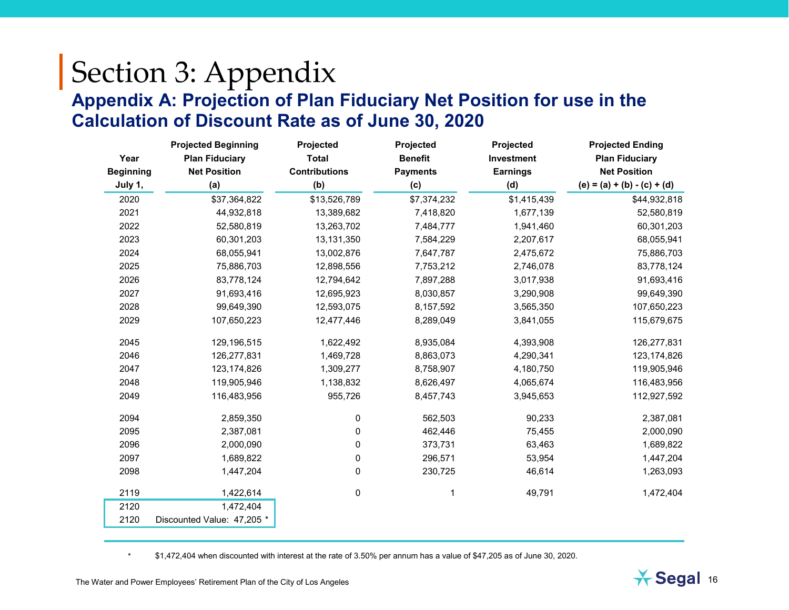# Section 3: Appendix **Appendix A: Projection of Plan Fiduciary Net Position for use in the Calculation of Discount Rate as of June 30, 2020**

|                  | <b>Projected Beginning</b> | Projected            | Projected       | Projected       | <b>Projected Ending</b>       |
|------------------|----------------------------|----------------------|-----------------|-----------------|-------------------------------|
| Year             | <b>Plan Fiduciary</b>      | <b>Total</b>         | <b>Benefit</b>  | Investment      | <b>Plan Fiduciary</b>         |
| <b>Beginning</b> | <b>Net Position</b>        | <b>Contributions</b> | <b>Payments</b> | <b>Earnings</b> | <b>Net Position</b>           |
| July 1,          | (a)                        | (b)                  | (c)             | (d)             | $(e) = (a) + (b) - (c) + (d)$ |
| 2020             | \$37,364,822               | \$13,526,789         | \$7,374,232     | \$1,415,439     | \$44,932,818                  |
| 2021             | 44,932,818                 | 13,389,682           | 7,418,820       | 1,677,139       | 52,580,819                    |
| 2022             | 52,580,819                 | 13,263,702           | 7,484,777       | 1,941,460       | 60,301,203                    |
| 2023             | 60,301,203                 | 13,131,350           | 7,584,229       | 2,207,617       | 68,055,941                    |
| 2024             | 68,055,941                 | 13,002,876           | 7,647,787       | 2,475,672       | 75,886,703                    |
| 2025             | 75,886,703                 | 12,898,556           | 7,753,212       | 2,746,078       | 83,778,124                    |
| 2026             | 83,778,124                 | 12,794,642           | 7,897,288       | 3,017,938       | 91,693,416                    |
| 2027             | 91,693,416                 | 12,695,923           | 8,030,857       | 3,290,908       | 99,649,390                    |
| 2028             | 99,649,390                 | 12,593,075           | 8,157,592       | 3,565,350       | 107,650,223                   |
| 2029             | 107,650,223                | 12,477,446           | 8,289,049       | 3,841,055       | 115,679,675                   |
| 2045             | 129,196,515                | 1,622,492            | 8,935,084       | 4,393,908       | 126,277,831                   |
| 2046             | 126,277,831                | 1,469,728            | 8,863,073       | 4,290,341       | 123, 174, 826                 |
| 2047             | 123, 174, 826              | 1,309,277            | 8,758,907       | 4,180,750       | 119,905,946                   |
| 2048             | 119,905,946                | 1,138,832            | 8,626,497       | 4,065,674       | 116,483,956                   |
| 2049             | 116,483,956                | 955,726              | 8,457,743       | 3,945,653       | 112,927,592                   |
| 2094             | 2,859,350                  | 0                    | 562,503         | 90,233          | 2,387,081                     |
| 2095             | 2,387,081                  | 0                    | 462,446         | 75,455          | 2,000,090                     |
| 2096             | 2,000,090                  | 0                    | 373,731         | 63,463          | 1,689,822                     |
| 2097             | 1,689,822                  | 0                    | 296,571         | 53,954          | 1,447,204                     |
| 2098             | 1,447,204                  | 0                    | 230,725         | 46,614          | 1,263,093                     |
| 2119             | 1,422,614                  | 0                    |                 | 49,791          | 1,472,404                     |
| 2120             | 1,472,404                  |                      |                 |                 |                               |
| 2120             | Discounted Value: 47,205 * |                      |                 |                 |                               |

\* \$1,472,404 when discounted with interest at the rate of 3.50% per annum has a value of \$47,205 as of June 30, 2020.